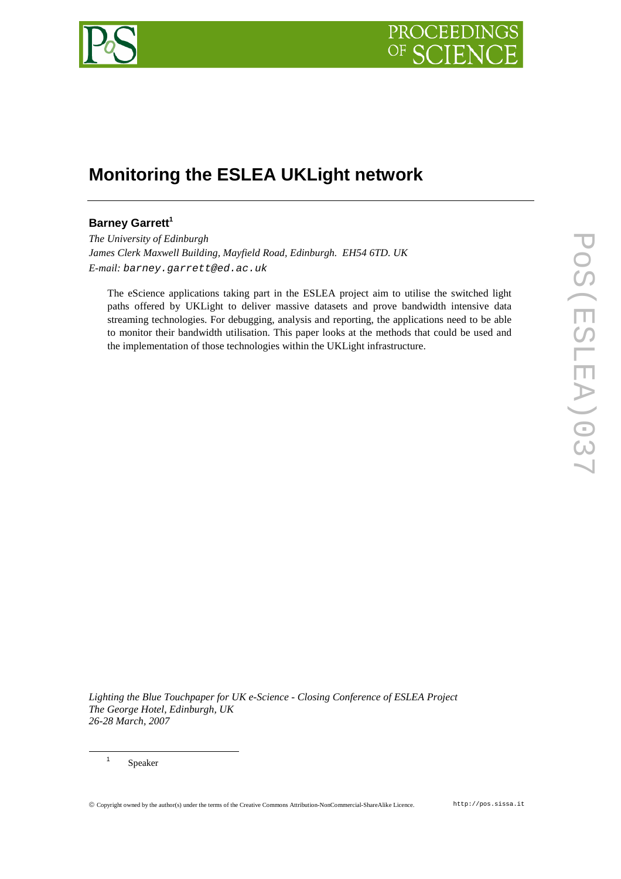

# **Monitoring the ESLEA UKLight network**

## **Barney Garrett<sup>1</sup>**

*The University of Edinburgh James Clerk Maxwell Building, Mayfield Road, Edinburgh. EH54 6TD. UK E-mail:* barney.garrett@ed.ac.uk

The eScience applications taking part in the ESLEA project aim to utilise the switched light paths offered by UKLight to deliver massive datasets and prove bandwidth intensive data streaming technologies. For debugging, analysis and reporting, the applications need to be able to monitor their bandwidth utilisation. This paper looks at the methods that could be used and the implementation of those technologies within the UKLight infrastructure.

*Lighting the Blue Touchpaper for UK e-Science - Closing Conference of ESLEA Project The George Hotel, Edinburgh, UK 26-28 March, 2007*

1 Speaker

 $\overline{a}$ 

Copyright owned by the author(s) under the terms of the Creative Commons Attribution-NonCommercial-ShareAlike Licence. http://pos.sissa.it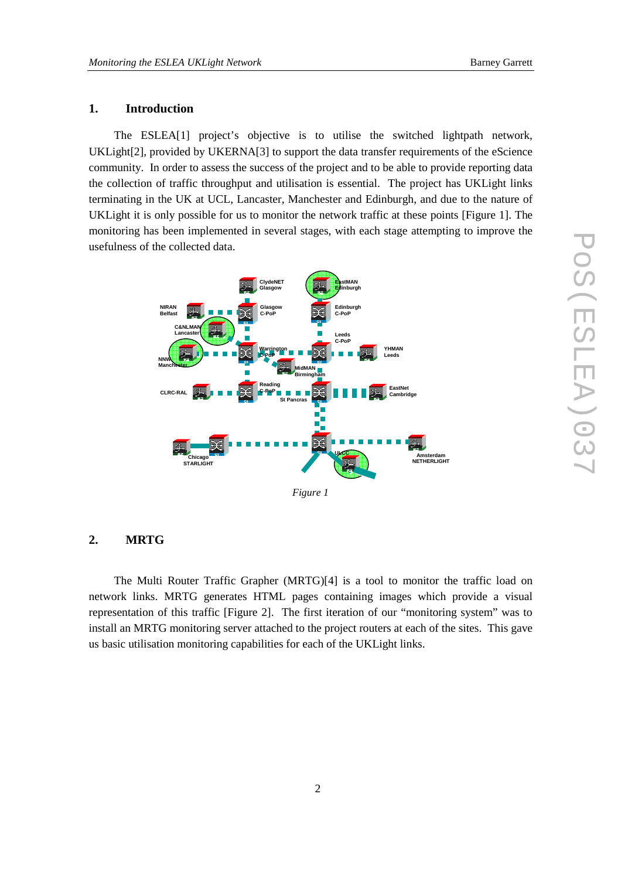## **1. Introduction**

The ESLEA[1] project's objective is to utilise the switched lightpath network, UKLight[2], provided by UKERNA[3] to support the data transfer requirements of the eScience community. In order to assess the success of the project and to be able to provide reporting data the collection of traffic throughput and utilisation is essential. The project has UKLight links terminating in the UK at UCL, Lancaster, Manchester and Edinburgh, and due to the nature of UKLight it is only possible for us to monitor the network traffic at these points [Figure 1]. The monitoring has been implemented in several stages, with each stage attempting to improve the usefulness of the collected data.



#### **2. MRTG**

The Multi Router Traffic Grapher (MRTG)[4] is a tool to monitor the traffic load on network links. MRTG generates HTML pages containing images which provide a visual representation of this traffic [Figure 2]. The first iteration of our "monitoring system" was to install an MRTG monitoring server attached to the project routers at each of the sites. This gave us basic utilisation monitoring capabilities for each of the UKLight links.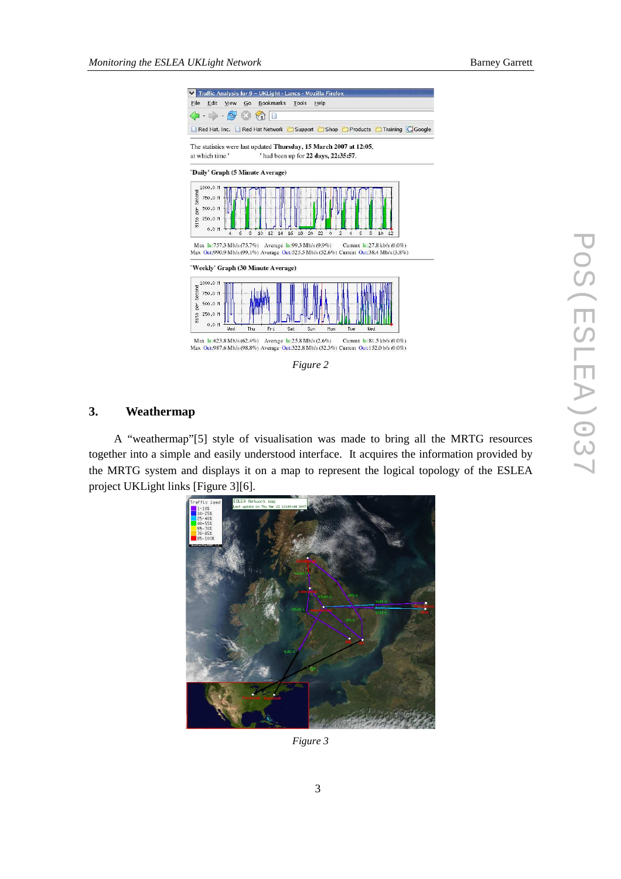



## **3. Weathermap**

A "weathermap"[5] style of visualisation was made to bring all the MRTG resources together into a simple and easily understood interface. It acquires the information provided by the MRTG system and displays it on a map to represent the logical topology of the ESLEA project UKLight links [Figure 3][6].



*Figure 3*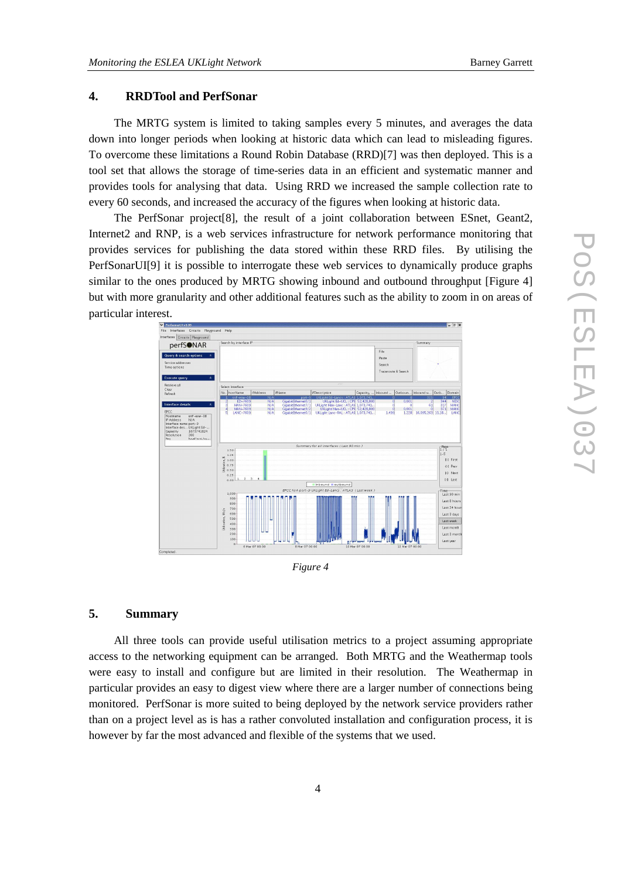## **4. RRDTool and PerfSonar**

The MRTG system is limited to taking samples every 5 minutes, and averages the data down into longer periods when looking at historic data which can lead to misleading figures. To overcome these limitations a Round Robin Database (RRD)[7] was then deployed. This is a tool set that allows the storage of time-series data in an efficient and systematic manner and provides tools for analysing that data. Using RRD we increased the sample collection rate to every 60 seconds, and increased the accuracy of the figures when looking at historic data.

The PerfSonar project[8], the result of a joint collaboration between ESnet, Geant2, Internet2 and RNP, is a web services infrastructure for network performance monitoring that provides services for publishing the data stored within these RRD files. By utilising the PerfSonarUI[9] it is possible to interrogate these web services to dynamically produce graphs similar to the ones produced by MRTG showing inbound and outbound throughput [Figure 4] but with more granularity and other additional features such as the ability to zoom in on areas of particular interest.



*Figure 4* 

#### **5. Summary**

All three tools can provide useful utilisation metrics to a project assuming appropriate access to the networking equipment can be arranged. Both MRTG and the Weathermap tools were easy to install and configure but are limited in their resolution. The Weathermap in particular provides an easy to digest view where there are a larger number of connections being monitored. PerfSonar is more suited to being deployed by the network service providers rather than on a project level as is has a rather convoluted installation and configuration process, it is however by far the most advanced and flexible of the systems that we used.